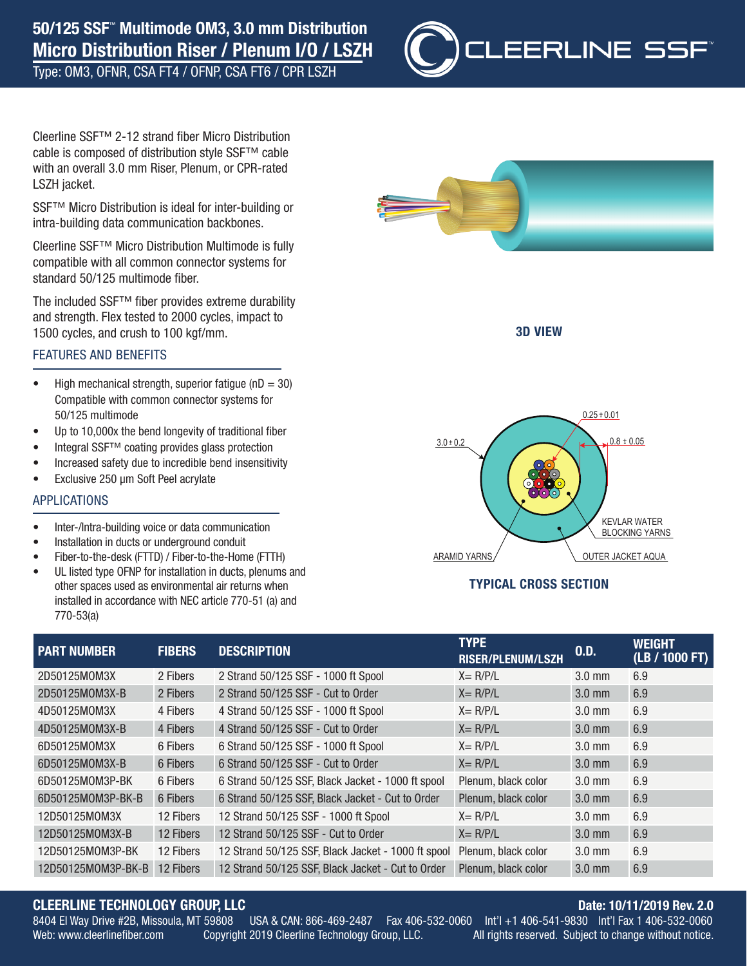Type: OM3, OFNR, CSA FT4 / OFNP, CSA FT6 / CPR LSZH



Cleerline SSF™ 2-12 strand fiber Micro Distribution cable is composed of distribution style SSF™ cable with an overall 3.0 mm Riser, Plenum, or CPR-rated LSZH jacket.

SSF<sup>™</sup> Micro Distribution is ideal for inter-building or intra-building data communication backbones.

Cleerline SSF™ Micro Distribution Multimode is fully compatible with all common connector systems for standard 50/125 multimode fiber.

The included SSF™ fiber provides extreme durability and strength. Flex tested to 2000 cycles, impact to 1500 cycles, and crush to 100 kgf/mm.

#### FEATURES AND BENEFITS

- High mechanical strength, superior fatigue ( $nD = 30$ ) Compatible with common connector systems for 50/125 multimode
- Up to 10,000x the bend longevity of traditional fiber
- Integral SSF™ coating provides glass protection
- Increased safety due to incredible bend insensitivity
- Exclusive 250 µm Soft Peel acrylate

#### APPLICATIONS

- Inter-/Intra-building voice or data communication
- Installation in ducts or underground conduit
- Fiber-to-the-desk (FTTD) / Fiber-to-the-Home (FTTH)
- UL listed type OFNP for installation in ducts, plenums and other spaces used as environmental air returns when installed in accordance with NEC article 770-51 (a) and 770-53(a)



3D VIEW



#### TYPICAL CROSS SECTION

| <b>PART NUMBER</b> | <b>FIBERS</b> | <b>DESCRIPTION</b>                                 | <b>TYPE</b><br><b>RISER/PLENUM/LSZH</b> | 0.D.             | <b>WEIGHT</b><br>(LB / 1000 FT) |
|--------------------|---------------|----------------------------------------------------|-----------------------------------------|------------------|---------------------------------|
| 2D50125M0M3X       | 2 Fibers      | 2 Strand 50/125 SSF - 1000 ft Spool                | $X = R/P/L$                             | $3.0$ mm         | 6.9                             |
| 2D50125M0M3X-B     | 2 Fibers      | 2 Strand 50/125 SSF - Cut to Order                 | $X = R/P/L$                             | $3.0$ mm         | 6.9                             |
| 4D50125M0M3X       | 4 Fibers      | 4 Strand 50/125 SSF - 1000 ft Spool                | $X = R/P/L$                             | $3.0 \text{ mm}$ | 6.9                             |
| 4D50125M0M3X-B     | 4 Fibers      | 4 Strand 50/125 SSF - Cut to Order                 | $X = R/P/L$                             | $3.0$ mm         | 6.9                             |
| 6D50125M0M3X       | 6 Fibers      | 6 Strand 50/125 SSF - 1000 ft Spool                | $X = R/P/L$                             | $3.0 \text{ mm}$ | 6.9                             |
| 6D50125M0M3X-B     | 6 Fibers      | 6 Strand 50/125 SSF - Cut to Order                 | $X = R/P/L$                             | $3.0$ mm         | 6.9                             |
| 6D50125M0M3P-BK    | 6 Fibers      | 6 Strand 50/125 SSF, Black Jacket - 1000 ft spool  | Plenum, black color                     | $3.0$ mm         | 6.9                             |
| 6D50125M0M3P-BK-B  | 6 Fibers      | 6 Strand 50/125 SSF, Black Jacket - Cut to Order   | Plenum, black color                     | $3.0$ mm         | 6.9                             |
| 12D50125M0M3X      | 12 Fibers     | 12 Strand 50/125 SSF - 1000 ft Spool               | $X = R/P/L$                             | $3.0 \text{ mm}$ | 6.9                             |
| 12D50125M0M3X-B    | 12 Fibers     | 12 Strand 50/125 SSF - Cut to Order                | $X = R/P/L$                             | $3.0$ mm         | 6.9                             |
| 12D50125M0M3P-BK   | 12 Fibers     | 12 Strand 50/125 SSF, Black Jacket - 1000 ft spool | Plenum, black color                     | $3.0 \text{ mm}$ | 6.9                             |
| 12D50125M0M3P-BK-B | 12 Fibers     | 12 Strand 50/125 SSF, Black Jacket - Cut to Order  | Plenum, black color                     | $3.0$ mm         | 6.9                             |

## CLEERLINE TECHNOLOGY GROUP, LLC **CLEERLINE TECHNOLOGY GROUP, LLC**

USA & CAN: 866-469-2487 8404 El Way Drive #2B, Missoula, MT 59808 USA & CAN: 866-469-2487 Fax 406-532-0060 Int'l +1 406-541-9830 Int'l Fax 1 406-532-0060

Web: www.cleerlinefiber.com Copyright 2019 Cleerline Technology Group, LLC. All rights reserved. Subject to change without notice.